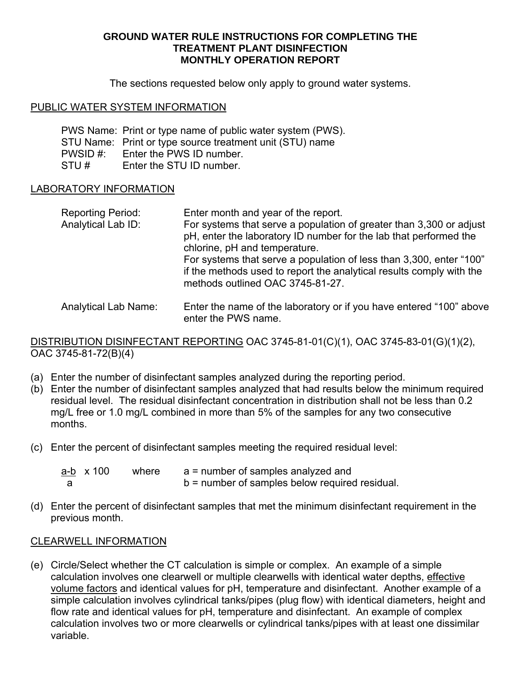### **GROUND WATER RULE INSTRUCTIONS FOR COMPLETING THE TREATMENT PLANT DISINFECTION MONTHLY OPERATION REPORT**

The sections requested below only apply to ground water systems.

### PUBLIC WATER SYSTEM INFORMATION

PWS Name: Print or type name of public water system (PWS). STU Name: Print or type source treatment unit (STU) name PWSID #: Enter the PWS ID number. STU # Enter the STU ID number.

### LABORATORY INFORMATION

| <b>Reporting Period:</b><br>Analytical Lab ID: | Enter month and year of the report.<br>For systems that serve a population of greater than 3,300 or adjust<br>pH, enter the laboratory ID number for the lab that performed the<br>chlorine, pH and temperature.<br>For systems that serve a population of less than 3,300, enter "100"<br>if the methods used to report the analytical results comply with the<br>methods outlined OAC 3745-81-27. |
|------------------------------------------------|-----------------------------------------------------------------------------------------------------------------------------------------------------------------------------------------------------------------------------------------------------------------------------------------------------------------------------------------------------------------------------------------------------|
| .                                              |                                                                                                                                                                                                                                                                                                                                                                                                     |

Analytical Lab Name: Enter the name of the laboratory or if you have entered "100" above enter the PWS name.

DISTRIBUTION DISINFECTANT REPORTING OAC 3745-81-01(C)(1), OAC 3745-83-01(G)(1)(2), OAC 3745-81-72(B)(4)

- (a) Enter the number of disinfectant samples analyzed during the reporting period.
- (b) Enter the number of disinfectant samples analyzed that had results below the minimum required residual level. The residual disinfectant concentration in distribution shall not be less than 0.2 mg/L free or 1.0 mg/L combined in more than 5% of the samples for any two consecutive months.
- (c) Enter the percent of disinfectant samples meeting the required residual level:

| a-b $\times$ 100 | where | a = number of samples analyzed and               |
|------------------|-------|--------------------------------------------------|
|                  |       | $b =$ number of samples below required residual. |

(d) Enter the percent of disinfectant samples that met the minimum disinfectant requirement in the previous month.

#### CLEARWELL INFORMATION

(e) Circle/Select whether the CT calculation is simple or complex. An example of a simple calculation involves one clearwell or multiple clearwells with identical water depths, effective volume factors and identical values for pH, temperature and disinfectant. Another example of a simple calculation involves cylindrical tanks/pipes (plug flow) with identical diameters, height and flow rate and identical values for pH, temperature and disinfectant. An example of complex calculation involves two or more clearwells or cylindrical tanks/pipes with at least one dissimilar variable.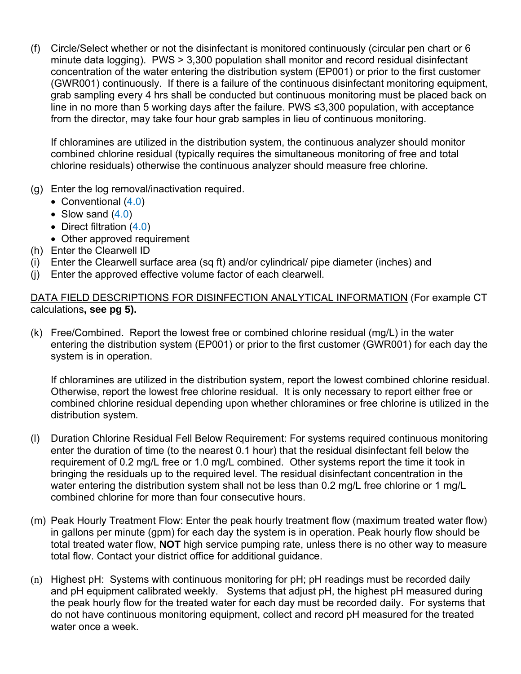(f) Circle/Select whether or not the disinfectant is monitored continuously (circular pen chart or 6 minute data logging). PWS > 3,300 population shall monitor and record residual disinfectant concentration of the water entering the distribution system (EP001) or prior to the first customer (GWR001) continuously. If there is a failure of the continuous disinfectant monitoring equipment, grab sampling every 4 hrs shall be conducted but continuous monitoring must be placed back on line in no more than 5 working days after the failure. PWS ≤3,300 population, with acceptance from the director, may take four hour grab samples in lieu of continuous monitoring.

If chloramines are utilized in the distribution system, the continuous analyzer should monitor combined chlorine residual (typically requires the simultaneous monitoring of free and total chlorine residuals) otherwise the continuous analyzer should measure free chlorine.

- (g) Enter the log removal/inactivation required.
	- Conventional (4.0)
	- Slow sand  $(4.0)$
	- Direct filtration (4.0)
	- Other approved requirement
- (h) Enter the Clearwell ID
- (i) Enter the Clearwell surface area (sq ft) and/or cylindrical/ pipe diameter (inches) and
- (j) Enter the approved effective volume factor of each clearwell.

## DATA FIELD DESCRIPTIONS FOR DISINFECTION ANALYTICAL INFORMATION (For example CT calculations**, see pg 5).**

(k) Free/Combined. Report the lowest free or combined chlorine residual (mg/L) in the water entering the distribution system (EP001) or prior to the first customer (GWR001) for each day the system is in operation.

If chloramines are utilized in the distribution system, report the lowest combined chlorine residual. Otherwise, report the lowest free chlorine residual. It is only necessary to report either free or combined chlorine residual depending upon whether chloramines or free chlorine is utilized in the distribution system.

- (l) Duration Chlorine Residual Fell Below Requirement: For systems required continuous monitoring enter the duration of time (to the nearest 0.1 hour) that the residual disinfectant fell below the requirement of 0.2 mg/L free or 1.0 mg/L combined. Other systems report the time it took in bringing the residuals up to the required level. The residual disinfectant concentration in the water entering the distribution system shall not be less than 0.2 mg/L free chlorine or 1 mg/L combined chlorine for more than four consecutive hours.
- (m) Peak Hourly Treatment Flow: Enter the peak hourly treatment flow (maximum treated water flow) in gallons per minute (gpm) for each day the system is in operation. Peak hourly flow should be total treated water flow, **NOT** high service pumping rate, unless there is no other way to measure total flow. Contact your district office for additional guidance.
- (n) Highest pH: Systems with continuous monitoring for pH; pH readings must be recorded daily and pH equipment calibrated weekly. Systems that adjust pH, the highest pH measured during the peak hourly flow for the treated water for each day must be recorded daily. For systems that do not have continuous monitoring equipment, collect and record pH measured for the treated water once a week.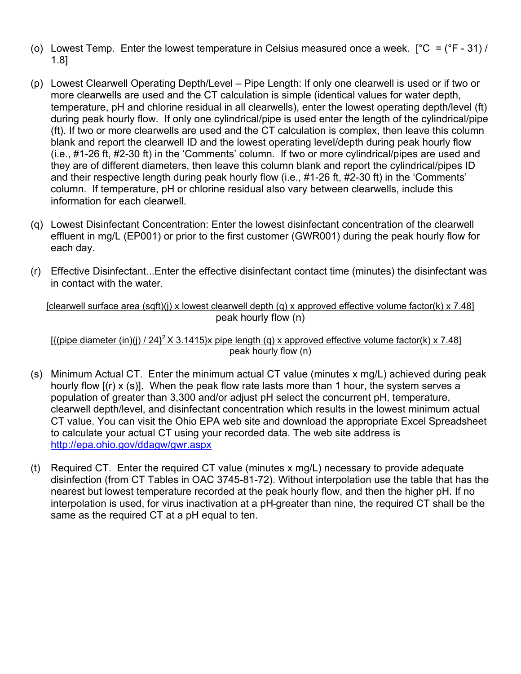- (o) Lowest Temp. Enter the lowest temperature in Celsius measured once a week.  $[°C = (°F 31) /$ 1.8]
- (p) Lowest Clearwell Operating Depth/Level Pipe Length: If only one clearwell is used or if two or more clearwells are used and the CT calculation is simple (identical values for water depth, temperature, pH and chlorine residual in all clearwells), enter the lowest operating depth/level (ft) during peak hourly flow. If only one cylindrical/pipe is used enter the length of the cylindrical/pipe (ft). If two or more clearwells are used and the CT calculation is complex, then leave this column blank and report the clearwell ID and the lowest operating level/depth during peak hourly flow (i.e., #1-26 ft, #2-30 ft) in the 'Comments' column. If two or more cylindrical/pipes are used and they are of different diameters, then leave this column blank and report the cylindrical/pipes ID and their respective length during peak hourly flow (i.e., #1-26 ft, #2-30 ft) in the 'Comments' column. If temperature, pH or chlorine residual also vary between clearwells, include this information for each clearwell.
- (q) Lowest Disinfectant Concentration: Enter the lowest disinfectant concentration of the clearwell effluent in mg/L (EP001) or prior to the first customer (GWR001) during the peak hourly flow for each day.
- (r) Effective Disinfectant...Enter the effective disinfectant contact time (minutes) the disinfectant was in contact with the water.

[clearwell surface area (sqft)(j) x lowest clearwell depth (q) x approved effective volume factor(k) x 7.48] peak hourly flow (n)

 $\frac{1}{2}$ [{(pipe diameter (in)(j) / 24}<sup>2</sup> X 3.1415}x pipe length (g) x approved effective volume factor(k) x 7.48] peak hourly flow (n)

- (s) Minimum Actual CT. Enter the minimum actual CT value (minutes x mg/L) achieved during peak hourly flow  $[(r) \times (s)]$ . When the peak flow rate lasts more than 1 hour, the system serves a population of greater than 3,300 and/or adjust pH select the concurrent pH, temperature, clearwell depth/level, and disinfectant concentration which results in the lowest minimum actual CT value. You can visit the Ohio EPA web site and download the appropriate Excel Spreadsheet to calculate your actual CT using your recorded data. The web site address is http://epa.ohio.gov/ddagw/gwr.aspx
- (t) Required CT. Enter the required CT value (minutes x mg/L) necessary to provide adequate disinfection (from CT Tables in OAC 3745-81-72). Without interpolation use the table that has the nearest but lowest temperature recorded at the peak hourly flow, and then the higher pH. If no interpolation is used, for virus inactivation at a pH greater than nine, the required CT shall be the same as the required CT at a pH-equal to ten.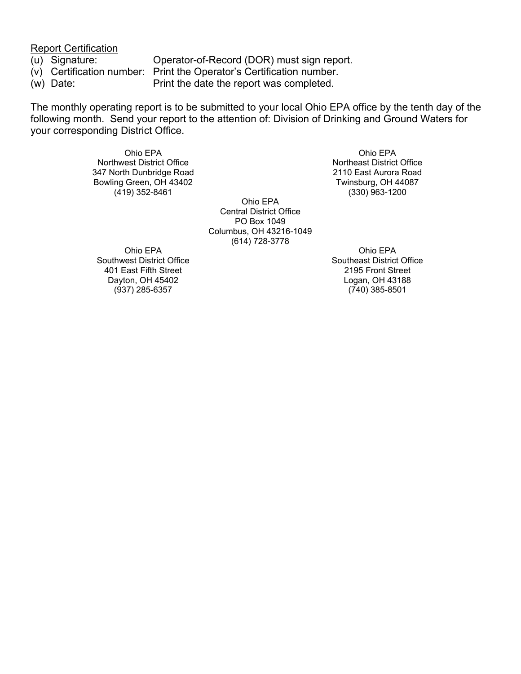Report Certification

- 
- 

(u) Signature: Operator-of-Record (DOR) must sign report. (v) Certification number: Print the Operator's Certification number. (w) Date: Print the date the report was completed.

The monthly operating report is to be submitted to your local Ohio EPA office by the tenth day of the following month. Send your report to the attention of: Division of Drinking and Ground Waters for your corresponding District Office.

> Ohio EPA Northwest District Office 347 North Dunbridge Road Bowling Green, OH 43402 (419) 352-8461

Ohio EPA Central District Office PO Box 1049 Columbus, OH 43216-1049 (614) 728-3778

Ohio EPA Southwest District Office 401 East Fifth Street Dayton, OH 45402 (937) 285-6357

Ohio EPA Northeast District Office 2110 East Aurora Road Twinsburg, OH 44087 (330) 963-1200

Ohio EPA Southeast District Office 2195 Front Street Logan, OH 43188 (740) 385-8501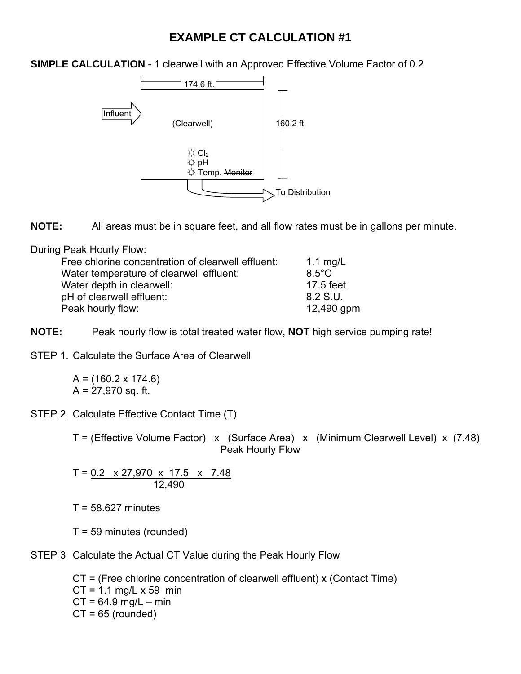# **EXAMPLE CT CALCULATION #1**

**SIMPLE CALCULATION** - 1 clearwell with an Approved Effective Volume Factor of 0.2



**NOTE:** All areas must be in square feet, and all flow rates must be in gallons per minute.

During Peak Hourly Flow:

| Free chlorine concentration of clearwell effluent: | 1.1 $mg/L$      |
|----------------------------------------------------|-----------------|
| Water temperature of clearwell effluent:           | $8.5^{\circ}$ C |
| Water depth in clearwell:                          | 17.5 feet       |
| pH of clearwell effluent:                          | 8.2 S.U.        |
| Peak hourly flow:                                  | 12,490 gpm      |

**NOTE:** Peak hourly flow is total treated water flow, **NOT** high service pumping rate!

STEP 1. Calculate the Surface Area of Clearwell

 $A = (160.2 \times 174.6)$  $A = 27,970$  sq. ft.

STEP 2 Calculate Effective Contact Time (T)

T = (Effective Volume Factor) x (Surface Area) x (Minimum Clearwell Level) x (7.48) Peak Hourly Flow

$$
T = 0.2 \times 27,970 \times 17.5 \times 7.48
$$
  
12,490

 $T = 58.627$  minutes

T = 59 minutes (rounded)

STEP 3 Calculate the Actual CT Value during the Peak Hourly Flow

CT = (Free chlorine concentration of clearwell effluent) x (Contact Time)  $CT = 1.1$  mg/L x 59 min  $CT = 64.9$  mg/L – min  $CT = 65$  (rounded)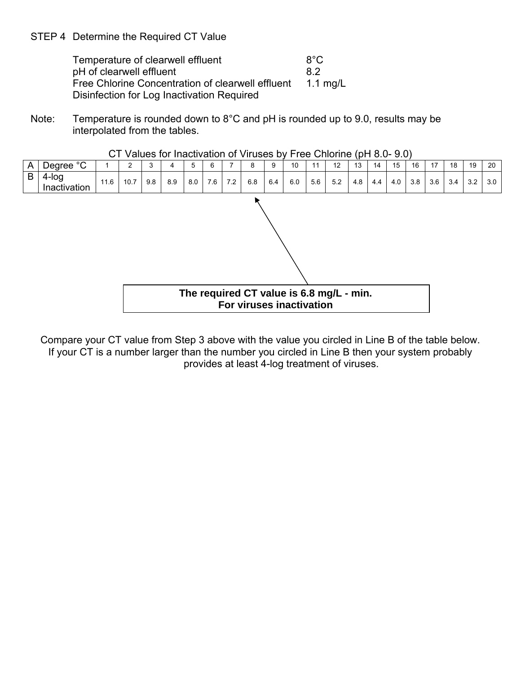STEP 4 Determine the Required CT Value

Temperature of clearwell effluent 8°C pH of clearwell effluent 8.2 Free Chlorine Concentration of clearwell effluent 1.1 mg/L Disinfection for Log Inactivation Required

Note: Temperature is rounded down to 8°C and pH is rounded up to 9.0, results may be interpolated from the tables.



CT Values for Inactivation of Viruses by Free Chlorine (pH 8.0- 9.0)

Compare your CT value from Step 3 above with the value you circled in Line B of the table below. If your CT is a number larger than the number you circled in Line B then your system probably provides at least 4-log treatment of viruses.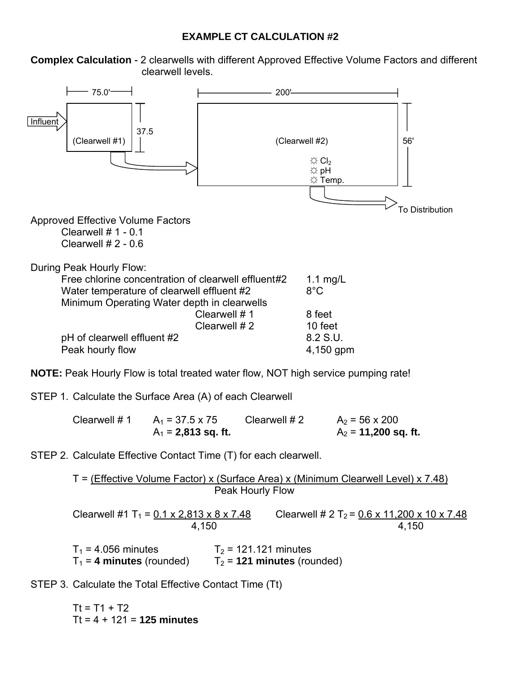### **EXAMPLE CT CALCULATION #2**

**Complex Calculation** - 2 clearwells with different Approved Effective Volume Factors and different clearwell levels.



STEP 1. Calculate the Surface Area (A) of each Clearwell

Clearwell # 1  $A_1 = 37.5 \times 75$  Clearwell # 2  $A_2 = 56 \times 200$  $A_1 = 2,813$  sq. ft.  $A_2 = 11,200$  sq. ft.

STEP 2. Calculate Effective Contact Time (T) for each clearwell.

T = (Effective Volume Factor) x (Surface Area) x (Minimum Clearwell Level) x 7.48) Peak Hourly Flow

Clearwell #1 T<sub>1</sub> =  $\frac{0.1 \times 2.813 \times 8 \times 7.48}{4.150}$  Clearwell # 2 T<sub>2</sub> =  $\frac{0.6 \times 11,200 \times 10 \times 7.48}{4.150}$ 4,150 4,150  $T_1$  = 4.056 minutes  $T_2$  = 121.121 minutes

 $T_1$  = 4 minutes (rounded)  $T_2$  = 121 minutes (rounded)

STEP 3. Calculate the Total Effective Contact Time (Tt)

 $Tt = T1 + T2$ Tt = 4 + 121 = **125 minutes**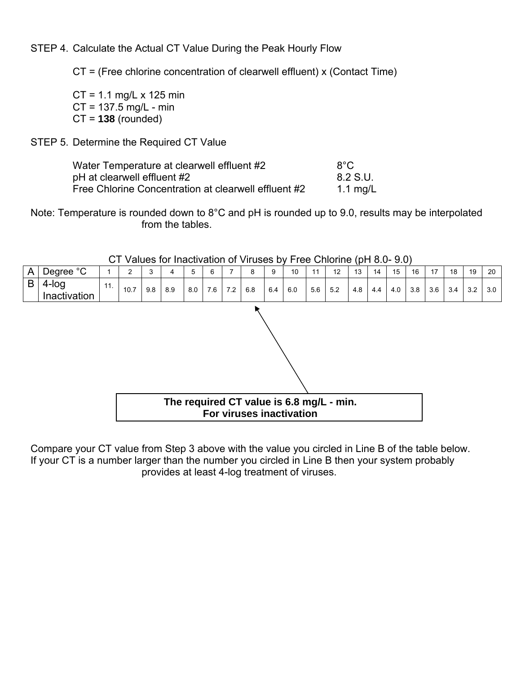STEP 4. Calculate the Actual CT Value During the Peak Hourly Flow

CT = (Free chlorine concentration of clearwell effluent) x (Contact Time)

 $CT = 1.1$  mg/L x 125 min CT = 137.5 mg/L - min CT = **138** (rounded)

# STEP 5. Determine the Required CT Value

| Water Temperature at clearwell effluent #2           | $8^{\circ}$ C |
|------------------------------------------------------|---------------|
| pH at clearwell effluent #2                          | 8.2 S.U.      |
| Free Chlorine Concentration at clearwell effluent #2 | 1.1 mg/L      |

Note: Temperature is rounded down to 8°C and pH is rounded up to 9.0, results may be interpolated from the tables.

|   |                       |     |      |     | U values for machivation or viruses by FIEE Childrift (pri 0.0- 3.0) |     |     |     |                                                                      |     |     |     |     |     |     |     |     |     |     |     |     |
|---|-----------------------|-----|------|-----|----------------------------------------------------------------------|-----|-----|-----|----------------------------------------------------------------------|-----|-----|-----|-----|-----|-----|-----|-----|-----|-----|-----|-----|
| A | Degree °C             |     | 2    | 3   | 4                                                                    | 5   | 6   |     | 8                                                                    | 9   | 10  | 11  | 12  | 13  | 14  | 15  | 16  | 17  | 18  | 19  | 20  |
| B | 4-log<br>Inactivation | 11. | 10.7 | 9.8 | 8.9                                                                  | 8.0 | 7.6 | 7.2 | 6.8                                                                  | 6.4 | 6.0 | 5.6 | 5.2 | 4.8 | 4.4 | 4.0 | 3.8 | 3.6 | 3.4 | 3.2 | 3.0 |
|   |                       |     |      |     |                                                                      |     |     |     | The required CT value is 6.8 mg/L - min.<br>For viruses inactivation |     |     |     |     |     |     |     |     |     |     |     |     |

CT Values for Inactivation of Viruses by Free Chlorine (pH 8.0- 9.0)

Compare your CT value from Step 3 above with the value you circled in Line B of the table below. If your CT is a number larger than the number you circled in Line B then your system probably provides at least 4-log treatment of viruses.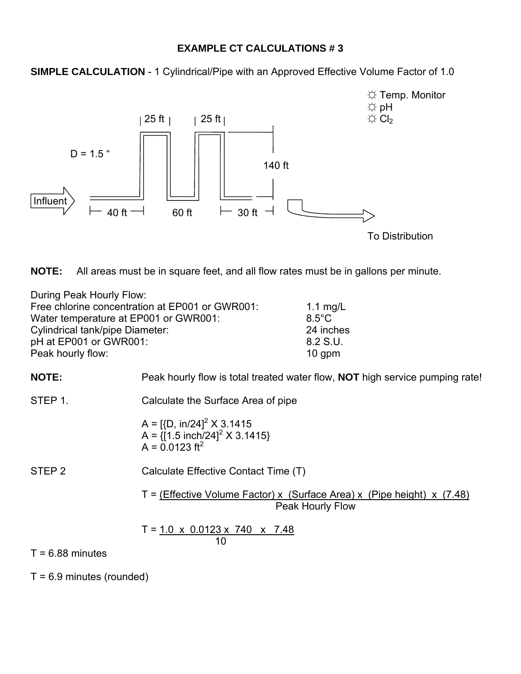### **EXAMPLE CT CALCULATIONS # 3**

**SIMPLE CALCULATION** - 1 Cylindrical/Pipe with an Approved Effective Volume Factor of 1.0



**NOTE:** All areas must be in square feet, and all flow rates must be in gallons per minute.

| During Peak Hourly Flow:                        |                 |
|-------------------------------------------------|-----------------|
| Free chlorine concentration at EP001 or GWR001: | 1.1 mg/L        |
| Water temperature at EP001 or GWR001:           | $8.5^{\circ}$ C |
| Cylindrical tank/pipe Diameter:                 | 24 inches       |
| pH at EP001 or GWR001:                          | 8.2 S.U.        |
| Peak hourly flow:                               | $10$ gpm        |

**NOTE:** Peak hourly flow is total treated water flow, **NOT** high service pumping rate!

STEP 1. Calculate the Surface Area of pipe

 $A = \left[ \{D, \, \text{in}/24 \right]^2 \times 3.1415 \right]$ A =  $\{[1.5 \text{ inch}/24]^2 \times 3.1415\}$  $A = 0.0123$  ft<sup>2</sup>

STEP 2 Calculate Effective Contact Time (T)

T =  $(Effective Volume Factor) \times (Surface Area) \times (Pipe height) \times (7.48)$ Peak Hourly Flow

 $T = 1.0 \times 0.0123 \times 740 \times 7.48$  $10$ 

 $T = 6.88$  minutes

 $T = 6.9$  minutes (rounded)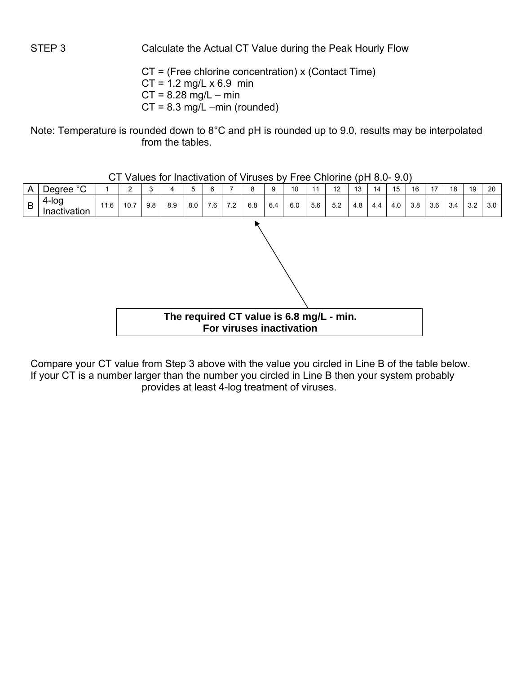STEP 3 Calculate the Actual CT Value during the Peak Hourly Flow

CT = (Free chlorine concentration) x (Contact Time)  $CT = 1.2$  mg/L x 6.9 min  $CT = 8.28$  mg/L – min  $CT = 8.3$  mg/L –min (rounded)

Note: Temperature is rounded down to 8°C and pH is rounded up to 9.0, results may be interpolated from the tables.



CT Values for Inactivation of Viruses by Free Chlorine (pH 8.0- 9.0)

Compare your CT value from Step 3 above with the value you circled in Line B of the table below. If your CT is a number larger than the number you circled in Line B then your system probably provides at least 4-log treatment of viruses.